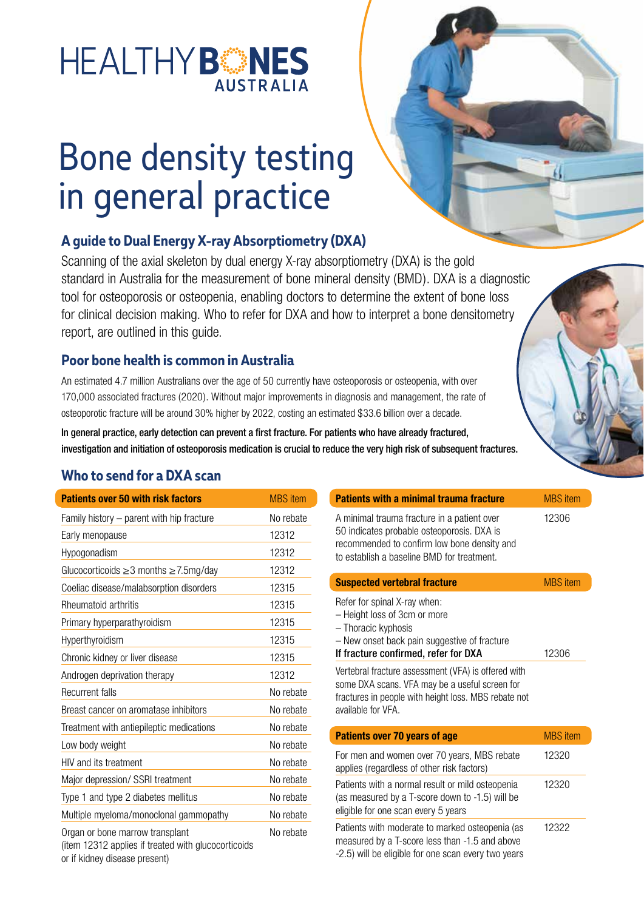# HEALTHYBES **AUSTRALIA**

# Bone density testing in general practice

## **A guide to Dual Energy X-ray Absorptiometry (DXA)**

Scanning of the axial skeleton by dual energy X-ray absorptiometry (DXA) is the gold standard in Australia for the measurement of bone mineral density (BMD). DXA is a diagnostic tool for osteoporosis or osteopenia, enabling doctors to determine the extent of bone loss for clinical decision making. Who to refer for DXA and how to interpret a bone densitometry report, are outlined in this guide.

#### **Poor bone health is common in Australia**

An estimated 4.7 million Australians over the age of 50 currently have osteoporosis or osteopenia, with over 170,000 associated fractures (2020). Without major improvements in diagnosis and management, the rate of osteoporotic fracture will be around 30% higher by 2022, costing an estimated \$33.6 billion over a decade.

In general practice, early detection can prevent a first fracture. For patients who have already fractured, investigation and initiation of osteoporosis medication is crucial to reduce the very high risk of subsequent fractures.

#### **Who to send for a DXA scan**

| <b>Patients over 50 with risk factors</b>                                                                               | <b>MBS</b> item |
|-------------------------------------------------------------------------------------------------------------------------|-----------------|
| Family history – parent with hip fracture                                                                               | No rebate       |
| Early menopause                                                                                                         | 12312           |
| Hypogonadism                                                                                                            | 12312           |
| Glucocorticoids ≥3 months ≥7.5mg/day                                                                                    | 12312           |
| Coeliac disease/malabsorption disorders                                                                                 | 12315           |
| Rheumatoid arthritis                                                                                                    | 12315           |
| Primary hyperparathyroidism                                                                                             | 12315           |
| Hyperthyroidism                                                                                                         | 12315           |
| Chronic kidney or liver disease                                                                                         | 12315           |
| Androgen deprivation therapy                                                                                            | 12312           |
| <b>Recurrent falls</b>                                                                                                  | No rebate       |
| Breast cancer on aromatase inhibitors                                                                                   | No rebate       |
| Treatment with antiepileptic medications                                                                                | No rebate       |
| Low body weight                                                                                                         | No rebate       |
| HIV and its treatment                                                                                                   | No rebate       |
| Major depression/ SSRI treatment                                                                                        | No rebate       |
| Type 1 and type 2 diabetes mellitus                                                                                     | No rebate       |
| Multiple myeloma/monoclonal gammopathy                                                                                  | No rebate       |
| Organ or bone marrow transplant<br>(item 12312 applies if treated with glucocorticoids<br>or if kidney disease present) | No rebate       |

| <b>Patients with a minimal trauma fracture</b>                                                                                                                                         | <b>MBS</b> item |
|----------------------------------------------------------------------------------------------------------------------------------------------------------------------------------------|-----------------|
| A minimal trauma fracture in a patient over<br>50 indicates probable osteoporosis. DXA is<br>recommended to confirm low bone density and<br>to establish a baseline BMD for treatment. | 12306           |
| <b>Suspected vertebral fracture</b>                                                                                                                                                    | <b>MBS</b> item |

| Refer for spinal X-ray when:<br>- Height loss of 3cm or more<br>- Thoracic kyphosis<br>- New onset back pain suggestive of fracture<br>If fracture confirmed, refer for DXA         | 12306           |
|-------------------------------------------------------------------------------------------------------------------------------------------------------------------------------------|-----------------|
| Vertebral fracture assessment (VFA) is offered with<br>some DXA scans. VFA may be a useful screen for<br>fractures in people with height loss. MBS rebate not<br>available for VFA. |                 |
| <b>Patients over 70 years of age</b>                                                                                                                                                | <b>MBS</b> item |
| For men and women over 70 years, MBS rebate<br>applies (regardless of other risk factors)                                                                                           | 12320           |
| Patients with a normal result or mild osteopenia<br>(as measured by a T-score down to -1.5) will be<br>eligible for one scan every 5 years                                          | 12320           |
| Patients with moderate to marked osteopenia (as                                                                                                                                     | 12322           |

measured by a T-score less than -1.5 and above -2.5) will be eligible for one scan every two years